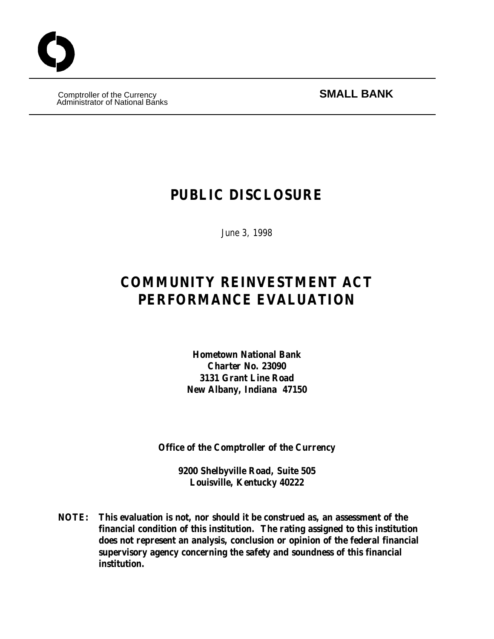Comptroller of the Currency **SMALL BANK** Administrator of National Banks

# **PUBLIC DISCLOSURE**

June 3, 1998

# **COMMUNITY REINVESTMENT ACT PERFORMANCE EVALUATION**

**Hometown National Bank Charter No. 23090 3131 Grant Line Road New Albany, Indiana 47150**

**Office of the Comptroller of the Currency**

**9200 Shelbyville Road, Suite 505 Louisville, Kentucky 40222**

**NOTE: This evaluation is not, nor should it be construed as, an assessment of the financial condition of this institution. The rating assigned to this institution does not represent an analysis, conclusion or opinion of the federal financial supervisory agency concerning the safety and soundness of this financial institution.**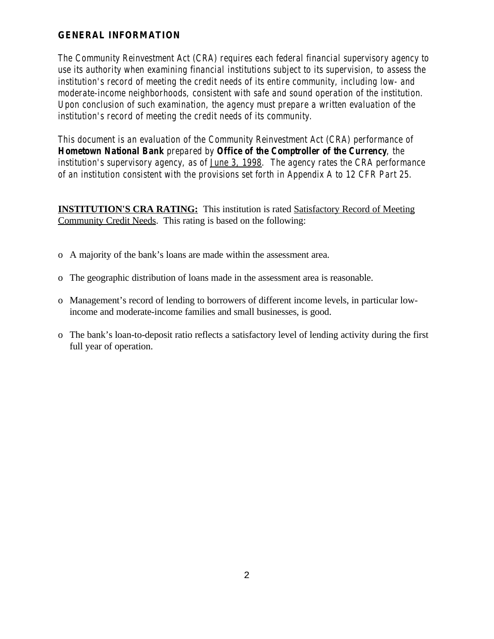### **GENERAL INFORMATION**

*The Community Reinvestment Act (CRA) requires each federal financial supervisory agency to use its authority when examining financial institutions subject to its supervision, to assess the institution's record of meeting the credit needs of its entire community, including low- and moderate-income neighborhoods, consistent with safe and sound operation of the institution. Upon conclusion of such examination, the agency must prepare a written evaluation of the institution's record of meeting the credit needs of its community.*

*This document is an evaluation of the Community Reinvestment Act (CRA) performance of Hometown National Bank prepared by Office of the Comptroller of the Currency, the institution's supervisory agency, as of June 3, 1998. The agency rates the CRA performance of an institution consistent with the provisions set forth in Appendix A to 12 CFR Part 25.*

**INSTITUTION'S CRA RATING:** This institution is rated Satisfactory Record of Meeting Community Credit Needs. This rating is based on the following:

- o A majority of the bank's loans are made within the assessment area.
- o The geographic distribution of loans made in the assessment area is reasonable.
- o Management's record of lending to borrowers of different income levels, in particular lowincome and moderate-income families and small businesses, is good.
- o The bank's loan-to-deposit ratio reflects a satisfactory level of lending activity during the first full year of operation.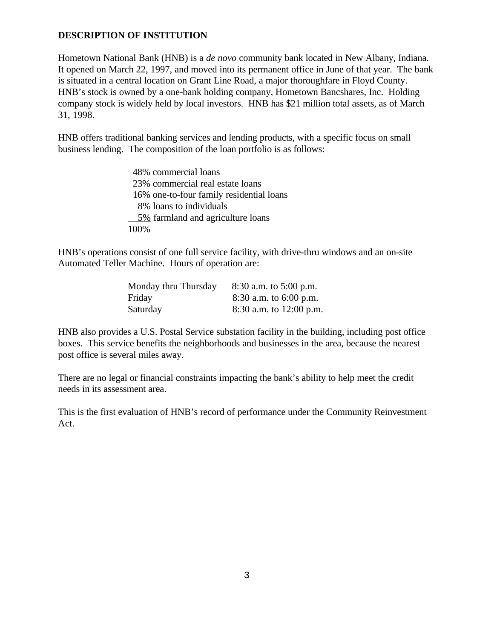#### **DESCRIPTION OF INSTITUTION**

Hometown National Bank (HNB) is a *de novo* community bank located in New Albany, Indiana. It opened on March 22, 1997, and moved into its permanent office in June of that year. The bank is situated in a central location on Grant Line Road, a major thoroughfare in Floyd County. HNB's stock is owned by a one-bank holding company, Hometown Bancshares, Inc. Holding company stock is widely held by local investors. HNB has \$21 million total assets, as of March 31, 1998.

HNB offers traditional banking services and lending products, with a specific focus on small business lending. The composition of the loan portfolio is as follows:

> 48% commercial loans 23% commercial real estate loans 16% one-to-four family residential loans 8% loans to individuals 5% farmland and agriculture loans 100%

HNB's operations consist of one full service facility, with drive-thru windows and an on-site Automated Teller Machine. Hours of operation are:

| Monday thru Thursday | $8:30$ a.m. to $5:00$ p.m. |
|----------------------|----------------------------|
| Friday               | $8:30$ a.m. to 6:00 p.m.   |
| Saturday             | 8:30 a.m. to $12:00$ p.m.  |

HNB also provides a U.S. Postal Service substation facility in the building, including post office boxes. This service benefits the neighborhoods and businesses in the area, because the nearest post office is several miles away.

There are no legal or financial constraints impacting the bank's ability to help meet the credit needs in its assessment area.

This is the first evaluation of HNB's record of performance under the Community Reinvestment Act.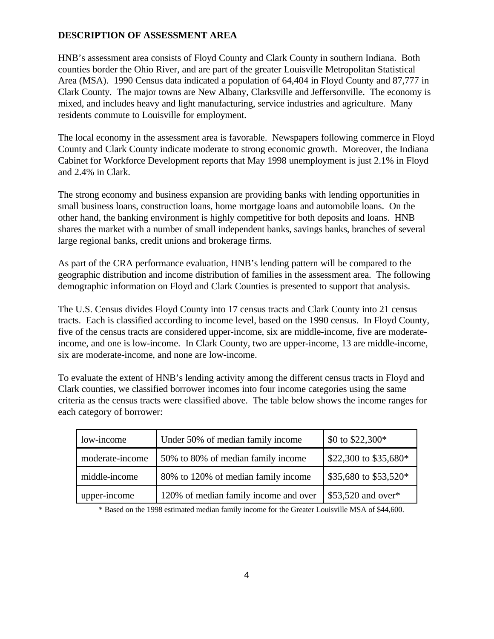#### **DESCRIPTION OF ASSESSMENT AREA**

HNB's assessment area consists of Floyd County and Clark County in southern Indiana. Both counties border the Ohio River, and are part of the greater Louisville Metropolitan Statistical Area (MSA). 1990 Census data indicated a population of 64,404 in Floyd County and 87,777 in Clark County. The major towns are New Albany, Clarksville and Jeffersonville. The economy is mixed, and includes heavy and light manufacturing, service industries and agriculture. Many residents commute to Louisville for employment.

The local economy in the assessment area is favorable. Newspapers following commerce in Floyd County and Clark County indicate moderate to strong economic growth. Moreover, the Indiana Cabinet for Workforce Development reports that May 1998 unemployment is just 2.1% in Floyd and 2.4% in Clark.

The strong economy and business expansion are providing banks with lending opportunities in small business loans, construction loans, home mortgage loans and automobile loans. On the other hand, the banking environment is highly competitive for both deposits and loans. HNB shares the market with a number of small independent banks, savings banks, branches of several large regional banks, credit unions and brokerage firms.

As part of the CRA performance evaluation, HNB's lending pattern will be compared to the geographic distribution and income distribution of families in the assessment area. The following demographic information on Floyd and Clark Counties is presented to support that analysis.

The U.S. Census divides Floyd County into 17 census tracts and Clark County into 21 census tracts. Each is classified according to income level, based on the 1990 census. In Floyd County, five of the census tracts are considered upper-income, six are middle-income, five are moderateincome, and one is low-income. In Clark County, two are upper-income, 13 are middle-income, six are moderate-income, and none are low-income.

To evaluate the extent of HNB's lending activity among the different census tracts in Floyd and Clark counties, we classified borrower incomes into four income categories using the same criteria as the census tracts were classified above. The table below shows the income ranges for each category of borrower:

| low-income      | Under 50% of median family income     | \$0 to \$22,300*      |
|-----------------|---------------------------------------|-----------------------|
| moderate-income | 50% to 80% of median family income    | \$22,300 to \$35,680* |
| middle-income   | 80% to 120% of median family income   | \$35,680 to \$53,520* |
| upper-income    | 120% of median family income and over | $$53,520$ and over*   |

\* Based on the 1998 estimated median family income for the Greater Louisville MSA of \$44,600.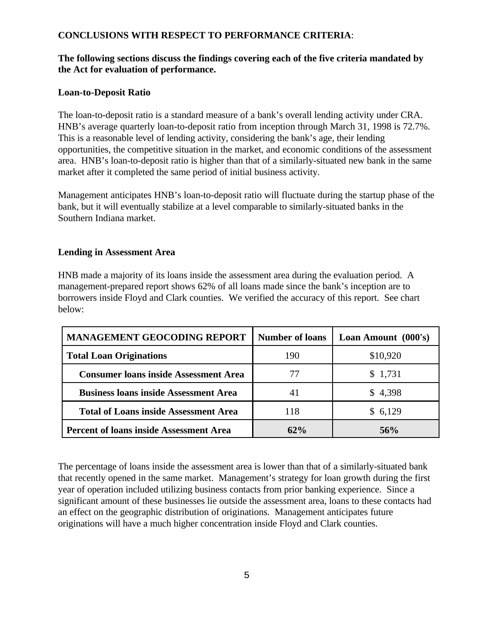#### **CONCLUSIONS WITH RESPECT TO PERFORMANCE CRITERIA**:

#### **The following sections discuss the findings covering each of the five criteria mandated by the Act for evaluation of performance.**

#### **Loan-to-Deposit Ratio**

The loan-to-deposit ratio is a standard measure of a bank's overall lending activity under CRA. HNB's average quarterly loan-to-deposit ratio from inception through March 31, 1998 is 72.7%. This is a reasonable level of lending activity, considering the bank's age, their lending opportunities, the competitive situation in the market, and economic conditions of the assessment area. HNB's loan-to-deposit ratio is higher than that of a similarly-situated new bank in the same market after it completed the same period of initial business activity.

Management anticipates HNB's loan-to-deposit ratio will fluctuate during the startup phase of the bank, but it will eventually stabilize at a level comparable to similarly-situated banks in the Southern Indiana market.

#### **Lending in Assessment Area**

HNB made a majority of its loans inside the assessment area during the evaluation period. A management-prepared report shows 62% of all loans made since the bank's inception are to borrowers inside Floyd and Clark counties. We verified the accuracy of this report. See chart below:

| <b>MANAGEMENT GEOCODING REPORT</b>             | <b>Number of loans</b> | Loan Amount (000's) |  |
|------------------------------------------------|------------------------|---------------------|--|
| <b>Total Loan Originations</b>                 | 190                    | \$10,920            |  |
| <b>Consumer loans inside Assessment Area</b>   | 77                     | \$1,731             |  |
| <b>Business loans inside Assessment Area</b>   | 41                     | \$4,398             |  |
| <b>Total of Loans inside Assessment Area</b>   | 118                    | \$6,129             |  |
| <b>Percent of loans inside Assessment Area</b> | 62%                    | 56%                 |  |

The percentage of loans inside the assessment area is lower than that of a similarly-situated bank that recently opened in the same market. Management's strategy for loan growth during the first year of operation included utilizing business contacts from prior banking experience. Since a significant amount of these businesses lie outside the assessment area, loans to these contacts had an effect on the geographic distribution of originations. Management anticipates future originations will have a much higher concentration inside Floyd and Clark counties.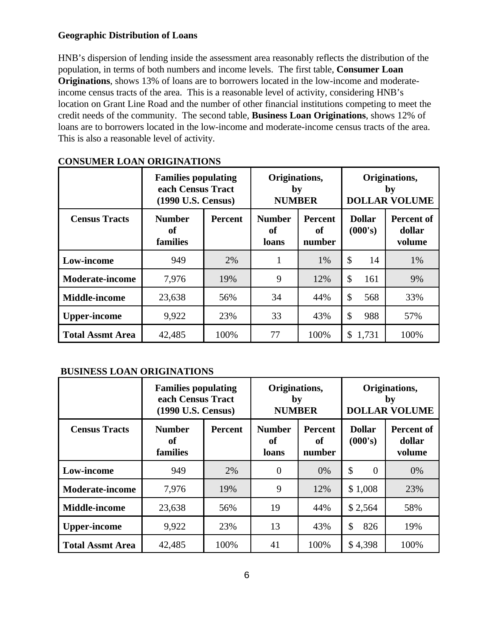#### **Geographic Distribution of Loans**

HNB's dispersion of lending inside the assessment area reasonably reflects the distribution of the population, in terms of both numbers and income levels. The first table, **Consumer Loan Originations**, shows 13% of loans are to borrowers located in the low-income and moderateincome census tracts of the area. This is a reasonable level of activity, considering HNB's location on Grant Line Road and the number of other financial institutions competing to meet the credit needs of the community. The second table, **Business Loan Originations**, shows 12% of loans are to borrowers located in the low-income and moderate-income census tracts of the area. This is also a reasonable level of activity.

|                         | <b>Families populating</b><br>each Census Tract<br>(1990 U.S. Census) |                | Originations,<br>by<br><b>NUMBER</b> |                                | Originations,<br>by<br><b>DOLLAR VOLUME</b> |                                |
|-------------------------|-----------------------------------------------------------------------|----------------|--------------------------------------|--------------------------------|---------------------------------------------|--------------------------------|
| <b>Census Tracts</b>    | <b>Number</b><br>of<br>families                                       | <b>Percent</b> | <b>Number</b><br>of<br>loans         | <b>Percent</b><br>of<br>number | <b>Dollar</b><br>(000's)                    | Percent of<br>dollar<br>volume |
| Low-income              | 949                                                                   | 2%             | 1                                    | 1%                             | \$<br>14                                    | 1%                             |
| <b>Moderate-income</b>  | 7,976                                                                 | 19%            | 9                                    | 12%                            | \$<br>161                                   | 9%                             |
| <b>Middle-income</b>    | 23,638                                                                | 56%            | 34                                   | 44%                            | \$<br>568                                   | 33%                            |
| <b>Upper-income</b>     | 9,922                                                                 | 23%            | 33                                   | 43%                            | \$<br>988                                   | 57%                            |
| <b>Total Assmt Area</b> | 42,485                                                                | 100%           | 77                                   | 100%                           | 1,731<br>\$                                 | 100%                           |

#### **CONSUMER LOAN ORIGINATIONS**

#### **BUSINESS LOAN ORIGINATIONS**

|                         | <b>Families populating</b><br>each Census Tract<br>(1990 U.S. Census) |                | Originations,<br>by<br><b>NUMBER</b> |                                | Originations,<br>by<br><b>DOLLAR VOLUME</b> |                                       |
|-------------------------|-----------------------------------------------------------------------|----------------|--------------------------------------|--------------------------------|---------------------------------------------|---------------------------------------|
| <b>Census Tracts</b>    | <b>Number</b><br>of<br>families                                       | <b>Percent</b> | <b>Number</b><br>of<br>loans         | <b>Percent</b><br>of<br>number | <b>Dollar</b><br>(000's)                    | <b>Percent of</b><br>dollar<br>volume |
| Low-income              | 949                                                                   | 2%             | $\theta$                             | 0%                             | \$<br>$\theta$                              | 0%                                    |
| <b>Moderate-income</b>  | 7,976                                                                 | 19%            | 9                                    | 12%                            | \$1,008                                     | 23%                                   |
| <b>Middle-income</b>    | 23,638                                                                | 56%            | 19                                   | 44%                            | \$2,564                                     | 58%                                   |
| <b>Upper-income</b>     | 9,922                                                                 | 23%            | 13                                   | 43%                            | \$<br>826                                   | 19%                                   |
| <b>Total Assmt Area</b> | 42,485                                                                | 100%           | 41                                   | 100%                           | \$4,398                                     | 100%                                  |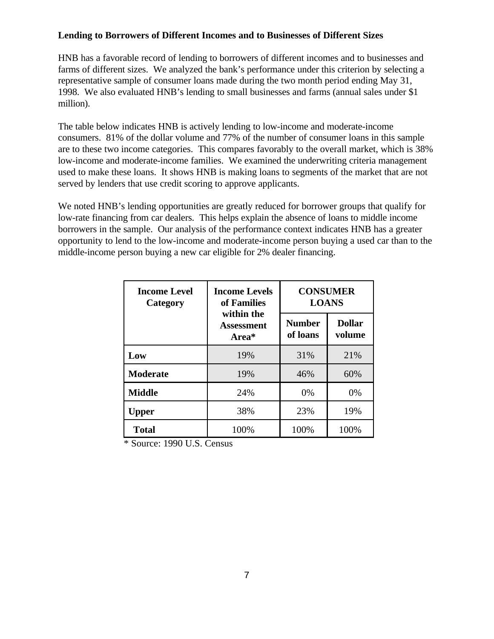#### **Lending to Borrowers of Different Incomes and to Businesses of Different Sizes**

HNB has a favorable record of lending to borrowers of different incomes and to businesses and farms of different sizes. We analyzed the bank's performance under this criterion by selecting a representative sample of consumer loans made during the two month period ending May 31, 1998. We also evaluated HNB's lending to small businesses and farms (annual sales under \$1 million).

The table below indicates HNB is actively lending to low-income and moderate-income consumers. 81% of the dollar volume and 77% of the number of consumer loans in this sample are to these two income categories. This compares favorably to the overall market, which is 38% low-income and moderate-income families. We examined the underwriting criteria management used to make these loans. It shows HNB is making loans to segments of the market that are not served by lenders that use credit scoring to approve applicants.

We noted HNB's lending opportunities are greatly reduced for borrower groups that qualify for low-rate financing from car dealers. This helps explain the absence of loans to middle income borrowers in the sample. Our analysis of the performance context indicates HNB has a greater opportunity to lend to the low-income and moderate-income person buying a used car than to the middle-income person buying a new car eligible for 2% dealer financing.

| <b>Income Level</b><br>Category | <b>Income Levels</b><br>of Families | <b>CONSUMER</b><br><b>LOANS</b> |                         |  |
|---------------------------------|-------------------------------------|---------------------------------|-------------------------|--|
|                                 | within the<br>Assessment<br>Area*   | <b>Number</b><br>of loans       | <b>Dollar</b><br>volume |  |
| Low                             | 19%                                 | 31%                             | 21%                     |  |
| <b>Moderate</b>                 | 19%                                 | 46%                             | 60%                     |  |
| <b>Middle</b>                   | 24%                                 | 0%                              | 0%                      |  |
| Upper                           | 38%                                 | 23%                             | 19%                     |  |
| <b>Total</b>                    | 100%                                | 100%<br>100%                    |                         |  |

\* Source: 1990 U.S. Census